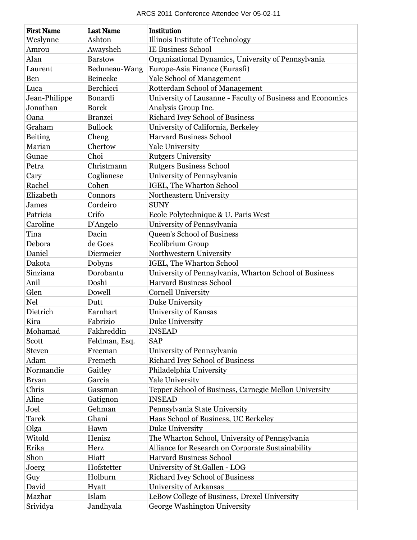| ARCS 2011 Conference Attendee Ver 05-02-11 |                  |                                                            |  |  |
|--------------------------------------------|------------------|------------------------------------------------------------|--|--|
| <b>First Name</b>                          | <b>Last Name</b> | Institution                                                |  |  |
| Weslynne                                   | Ashton           | Illinois Institute of Technology                           |  |  |
| Amrou                                      | Awaysheh         | <b>IE Business School</b>                                  |  |  |
| Alan                                       | <b>Barstow</b>   | Organizational Dynamics, University of Pennsylvania        |  |  |
| Laurent                                    | Beduneau-Wang    | Europe-Asia Finance (Eurasfi)                              |  |  |
| Ben                                        | Beinecke         | <b>Yale School of Management</b>                           |  |  |
| Luca                                       | Berchicci        | Rotterdam School of Management                             |  |  |
| Jean-Philippe                              | Bonardi          | University of Lausanne - Faculty of Business and Economics |  |  |
| Jonathan                                   | <b>Borck</b>     | Analysis Group Inc.                                        |  |  |
| Oana                                       | <b>Branzei</b>   | <b>Richard Ivey School of Business</b>                     |  |  |
| Graham                                     | <b>Bullock</b>   | University of California, Berkeley                         |  |  |
| Beiting                                    | Cheng            | <b>Harvard Business School</b>                             |  |  |
| Marian                                     | Chertow          | <b>Yale University</b>                                     |  |  |
| Gunae                                      | Choi             | <b>Rutgers University</b>                                  |  |  |
| Petra                                      | Christmann       | <b>Rutgers Business School</b>                             |  |  |
| Cary                                       | Coglianese       | University of Pennsylvania                                 |  |  |
| Rachel                                     | Cohen            | IGEL, The Wharton School                                   |  |  |
| Elizabeth                                  | Connors          | Northeastern University                                    |  |  |
| James                                      | Cordeiro         | <b>SUNY</b>                                                |  |  |
| Patricia                                   | Crifo            | Ecole Polytechnique & U. Paris West                        |  |  |
| Caroline                                   | D'Angelo         | University of Pennsylvania                                 |  |  |
| Tina                                       | Dacin            | <b>Queen's School of Business</b>                          |  |  |
| Debora                                     | de Goes          | Ecolibrium Group                                           |  |  |
| Daniel                                     | Diermeier        | Northwestern University                                    |  |  |
| Dakota                                     | Dobyns           | IGEL, The Wharton School                                   |  |  |
| Sinziana                                   | Dorobantu        | University of Pennsylvania, Wharton School of Business     |  |  |
| Anil                                       | Doshi            | <b>Harvard Business School</b>                             |  |  |
| Glen                                       | Dowell           | <b>Cornell University</b>                                  |  |  |
| <b>Nel</b>                                 | Dutt             | Duke University                                            |  |  |
| Dietrich                                   | Earnhart         | <b>University of Kansas</b>                                |  |  |
| Kira                                       | Fabrizio         | Duke University                                            |  |  |
| Mohamad                                    | Fakhreddin       | <b>INSEAD</b>                                              |  |  |
| Scott                                      | Feldman, Esq.    | <b>SAP</b>                                                 |  |  |
| <b>Steven</b>                              | Freeman          | University of Pennsylvania                                 |  |  |
| Adam                                       | Fremeth          | <b>Richard Ivey School of Business</b>                     |  |  |
| Normandie                                  | Gaitley          | Philadelphia University                                    |  |  |
| <b>Bryan</b>                               | Garcia           | <b>Yale University</b>                                     |  |  |
| Chris                                      | Gassman          | Tepper School of Business, Carnegie Mellon University      |  |  |
| Aline                                      | Gatignon         | <b>INSEAD</b>                                              |  |  |
| Joel                                       | Gehman           | Pennsylvania State University                              |  |  |
| <b>Tarek</b>                               | Ghani            | Haas School of Business, UC Berkeley                       |  |  |
| Olga                                       | Hawn             | Duke University                                            |  |  |
| Witold                                     | Henisz           | The Wharton School, University of Pennsylvania             |  |  |
| Erika                                      | Herz             | Alliance for Research on Corporate Sustainability          |  |  |
| Shon                                       | Hiatt            | <b>Harvard Business School</b>                             |  |  |
| Joerg                                      | Hofstetter       | University of St.Gallen - LOG                              |  |  |
| Guy                                        | Holburn          | <b>Richard Ivey School of Business</b>                     |  |  |
| David                                      | Hyatt            | University of Arkansas                                     |  |  |
| Mazhar                                     | Islam            | LeBow College of Business, Drexel University               |  |  |
| Srividya                                   | Jandhyala        | George Washington University                               |  |  |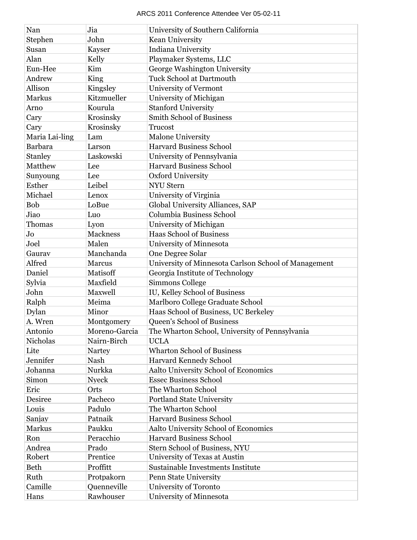| Nan            | Jia           | University of Southern California                    |
|----------------|---------------|------------------------------------------------------|
| Stephen        | John          | Kean University                                      |
| Susan          | Kayser        | Indiana University                                   |
| Alan           | Kelly         | Playmaker Systems, LLC                               |
| Eun-Hee        | Kim           | George Washington University                         |
| Andrew         | King          | <b>Tuck School at Dartmouth</b>                      |
| Allison        | Kingsley      | University of Vermont                                |
| Markus         | Kitzmueller   | University of Michigan                               |
| Arno           | Kourula       | <b>Stanford University</b>                           |
| Cary           | Krosinsky     | <b>Smith School of Business</b>                      |
| Cary           | Krosinsky     | <b>Trucost</b>                                       |
| Maria Lai-ling | Lam           | <b>Malone University</b>                             |
| <b>Barbara</b> | Larson        | <b>Harvard Business School</b>                       |
| Stanley        | Laskowski     | University of Pennsylvania                           |
| Matthew        | Lee           | <b>Harvard Business School</b>                       |
| Sunyoung       | Lee           | Oxford University                                    |
| Esther         | Leibel        | <b>NYU</b> Stern                                     |
| Michael        | Lenox         | University of Virginia                               |
| <b>Bob</b>     | LoBue         | Global University Alliances, SAP                     |
| Jiao           | Luo           | Columbia Business School                             |
| Thomas         | Lyon          | University of Michigan                               |
| Jo             | Mackness      | <b>Haas School of Business</b>                       |
| Joel           | Malen         | University of Minnesota                              |
| Gaurav         | Manchanda     | One Degree Solar                                     |
| Alfred         | Marcus        | University of Minnesota Carlson School of Management |
| Daniel         | Matisoff      | Georgia Institute of Technology                      |
| Sylvia         | Maxfield      | Simmons College                                      |
| John           | Maxwell       | IU, Kelley School of Business                        |
| Ralph          | Meima         | Marlboro College Graduate School                     |
| Dylan          | Minor         | Haas School of Business, UC Berkeley                 |
| A. Wren        | Montgomery    | <b>Queen's School of Business</b>                    |
| Antonio        | Moreno-Garcia | The Wharton School, University of Pennsylvania       |
| Nicholas       | Nairn-Birch   | <b>UCLA</b>                                          |
| Lite           | <b>Nartey</b> | <b>Wharton School of Business</b>                    |
| Jennifer       | Nash          | <b>Harvard Kennedy School</b>                        |
| Johanna        | Nurkka        | Aalto University School of Economics                 |
| Simon          | <b>Nyeck</b>  | <b>Essec Business School</b>                         |
| Eric           | Orts          | The Wharton School                                   |
| Desiree        | Pacheco       | <b>Portland State University</b>                     |
| Louis          | Padulo        | The Wharton School                                   |
| Sanjay         | Patnaik       | <b>Harvard Business School</b>                       |
| Markus         | Paukku        | Aalto University School of Economics                 |
| Ron            | Peracchio     | <b>Harvard Business School</b>                       |
| Andrea         | Prado         | Stern School of Business, NYU                        |
| Robert         | Prentice      | University of Texas at Austin                        |
| <b>Beth</b>    | Proffitt      | Sustainable Investments Institute                    |
| Ruth           | Protpakorn    | Penn State University                                |
| Camille        | Quenneville   | University of Toronto                                |
| Hans           | Rawhouser     | University of Minnesota                              |